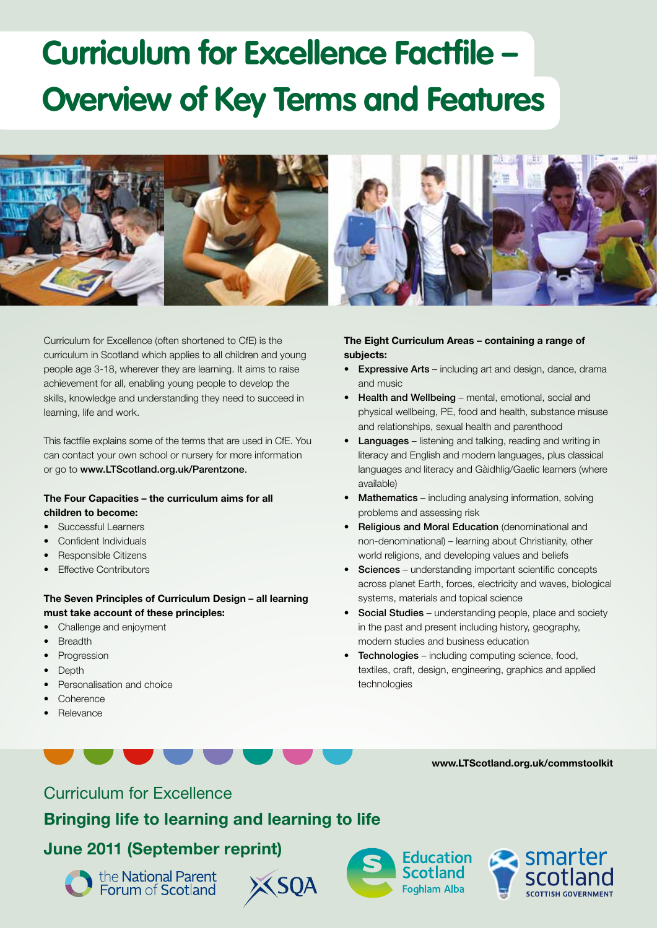# **Curriculum for Excellence Factfile – Overview of Key Terms and Features**



Curriculum for Excellence (often shortened to CfE) is the curriculum in Scotland which applies to all children and young people age 3-18, wherever they are learning. It aims to raise achievement for all, enabling young people to develop the skills, knowledge and understanding they need to succeed in learning, life and work.

This factfile explains some of the terms that are used in CfE. You can contact your own school or nursery for more information or go to www.LTScotland.org.uk/Parentzone.

### **The Four Capacities – the curriculum aims for all children to become:**

- Successful Learners
- Confident Individuals
- Responsible Citizens
- **Effective Contributors**

## **The Seven Principles of Curriculum Design – all learning must take account of these principles:**

- Challenge and enjoyment
- **Breadth**
- **Progression**
- Depth
- Personalisation and choice
- **Coherence**
- Relevance

## **The Eight Curriculum Areas – containing a range of subjects:**

- **Expressive Arts** including art and design, dance, drama and music
- Health and Wellbeing mental, emotional, social and physical wellbeing, PE, food and health, substance misuse and relationships, sexual health and parenthood
- Languages listening and talking, reading and writing in literacy and English and modern languages, plus classical languages and literacy and Gàidhlig/Gaelic learners (where available)
- Mathematics including analysing information, solving problems and assessing risk
- Religious and Moral Education (denominational and non-denominational) – learning about Christianity, other world religions, and developing values and beliefs
- Sciences understanding important scientific concepts across planet Earth, forces, electricity and waves, biological systems, materials and topical science
- Social Studies understanding people, place and society in the past and present including history, geography, modern studies and business education
- Technologies including computing science, food, textiles, craft, design, engineering, graphics and applied technologies

## Curriculum for Excellence

# **Bringing life to learning and learning to life**

# **June 2011 (September reprint)**











**www.ltscotland.org.uk/commstoolkit**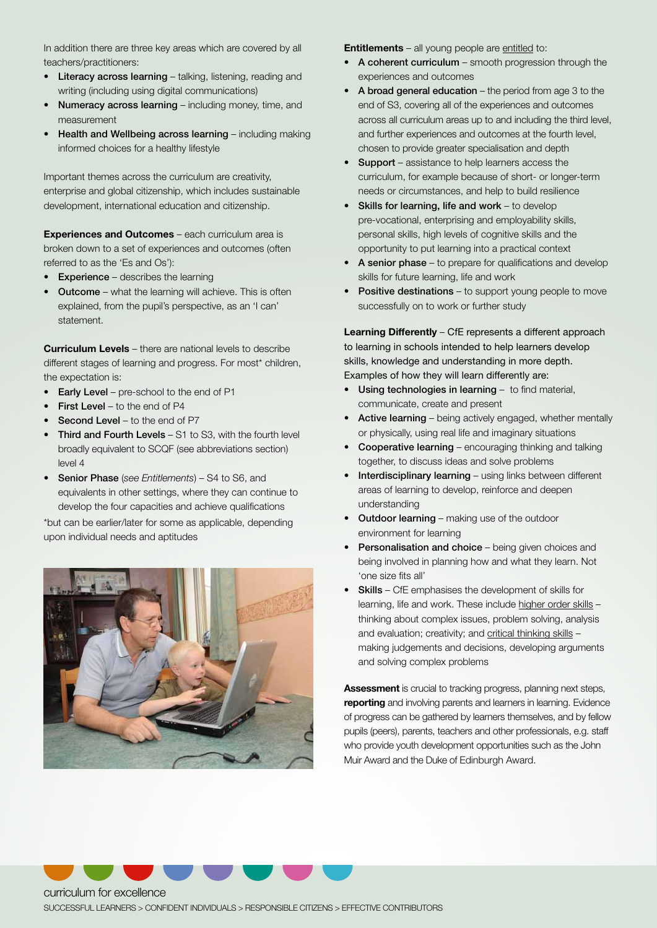In addition there are three key areas which are covered by all teachers/practitioners:

- Literacy across learning talking, listening, reading and writing (including using digital communications)
- Numeracy across learning including money, time, and measurement
- Health and Wellbeing across learning including making informed choices for a healthy lifestyle

Important themes across the curriculum are creativity, enterprise and global citizenship, which includes sustainable development, international education and citizenship.

**Experiences and Outcomes** – each curriculum area is broken down to a set of experiences and outcomes (often referred to as the 'Es and Os'):

- **Experience** describes the learning
- Outcome what the learning will achieve. This is often explained, from the pupil's perspective, as an 'I can' statement.

**Curriculum Levels** – there are national levels to describe different stages of learning and progress. For most\* children, the expectation is:

- Early Level pre-school to the end of P1
- First Level to the end of P4
- **Second Level to the end of P7**
- Third and Fourth Levels S1 to S3, with the fourth level broadly equivalent to SCQF (see abbreviations section) level 4
- Senior Phase (*see Entitlements*) S4 to S6, and equivalents in other settings, where they can continue to develop the four capacities and achieve qualifications

\*but can be earlier/later for some as applicable, depending upon individual needs and aptitudes



**Entitlements** – all young people are entitled to:

- A coherent curriculum smooth progression through the experiences and outcomes
- A broad general education the period from age 3 to the end of S3, covering all of the experiences and outcomes across all curriculum areas up to and including the third level, and further experiences and outcomes at the fourth level, chosen to provide greater specialisation and depth
- Support assistance to help learners access the curriculum, for example because of short- or longer-term needs or circumstances, and help to build resilience
- Skills for learning, life and work to develop pre-vocational, enterprising and employability skills, personal skills, high levels of cognitive skills and the opportunity to put learning into a practical context
- A senior phase to prepare for qualifications and develop skills for future learning, life and work
- Positive destinations to support young people to move successfully on to work or further study

**Learning Differently** – CfE represents a different approach to learning in schools intended to help learners develop skills, knowledge and understanding in more depth. Examples of how they will learn differently are:

- Using technologies in learning to find material, communicate, create and present
- Active learning being actively engaged, whether mentally or physically, using real life and imaginary situations
- Cooperative learning encouraging thinking and talking together, to discuss ideas and solve problems
- Interdisciplinary learning using links between different areas of learning to develop, reinforce and deepen understanding
- Outdoor learning making use of the outdoor environment for learning
- Personalisation and choice being given choices and being involved in planning how and what they learn. Not 'one size fits all'
- Skills CfE emphasises the development of skills for learning, life and work. These include higher order skills thinking about complex issues, problem solving, analysis and evaluation; creativity; and critical thinking skills making judgements and decisions, developing arguments and solving complex problems

**Assessment** is crucial to tracking progress, planning next steps, **reporting** and involving parents and learners in learning. Evidence of progress can be gathered by learners themselves, and by fellow pupils (peers), parents, teachers and other professionals, e.g. staff who provide youth development opportunities such as the John Muir Award and the Duke of Edinburgh Award.



curriculum for excellence computer contract and contract contract of the second contract of the second contract of the second contract of the second contract of the second contract of the second contract of the second cont SUCCESSFUL LEARNERS > CONFIDENT INDIVIDUALS > RESPONSIBLE CITIZENS > EFFECTIVE CONTRIBUTORS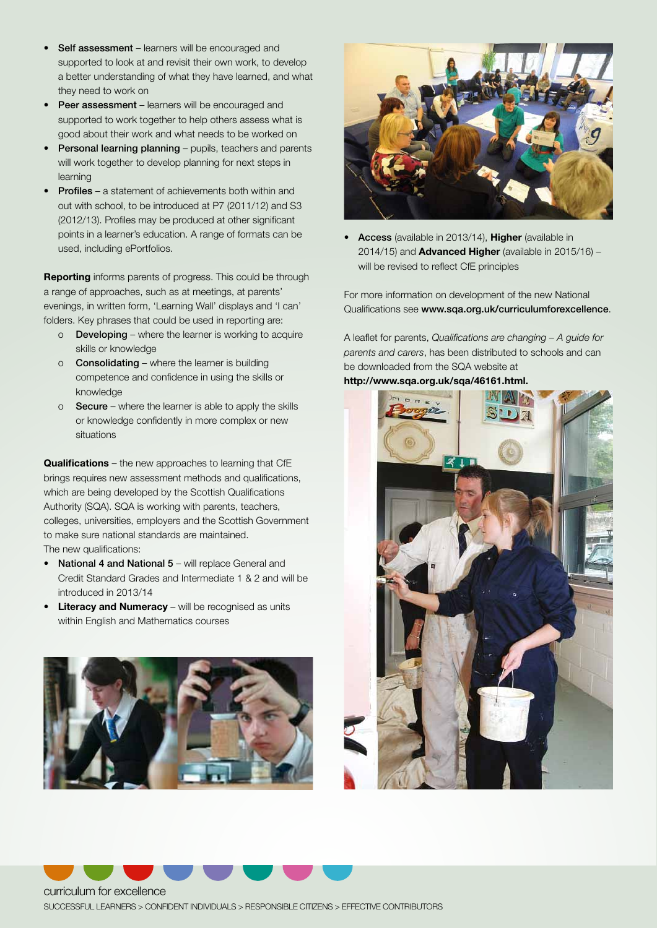- Self assessment learners will be encouraged and supported to look at and revisit their own work, to develop a better understanding of what they have learned, and what they need to work on
- Peer assessment learners will be encouraged and supported to work together to help others assess what is good about their work and what needs to be worked on
- Personal learning planning pupils, teachers and parents will work together to develop planning for next steps in learning
- **Profiles** a statement of achievements both within and out with school, to be introduced at P7 (2011/12) and S3 (2012/13). Profiles may be produced at other significant points in a learner's education. A range of formats can be used, including ePortfolios.

**Reporting** informs parents of progress. This could be through a range of approaches, such as at meetings, at parents' evenings, in written form, 'Learning Wall' displays and 'I can' folders. Key phrases that could be used in reporting are:

- o Developing where the learner is working to acquire skills or knowledge
- o Consolidating where the learner is building competence and confidence in using the skills or knowledge
- o Secure where the learner is able to apply the skills or knowledge confidently in more complex or new situations

**Qualifications** – the new approaches to learning that CfE brings requires new assessment methods and qualifications, which are being developed by the Scottish Qualifications Authority (SQA). SQA is working with parents, teachers, colleges, universities, employers and the Scottish Government to make sure national standards are maintained. The new qualifications:

- National 4 and National 5 will replace General and Credit Standard Grades and Intermediate 1 & 2 and will be introduced in 2013/14
- **Literacy and Numeracy** will be recognised as units within English and Mathematics courses





• Access (available in 2013/14), **Higher** (available in 2014/15) and **Advanced Higher** (available in 2015/16) – will be revised to reflect CfE principles

For more information on development of the new National Qualifications see www.sqa.org.uk/curriculumforexcellence.

A leaflet for parents, *Qualifications are changing – A guide for parents and carers*, has been distributed to schools and can be downloaded from the SQA website at

**http://www.sqa.org.uk/sqa/46161.html.**